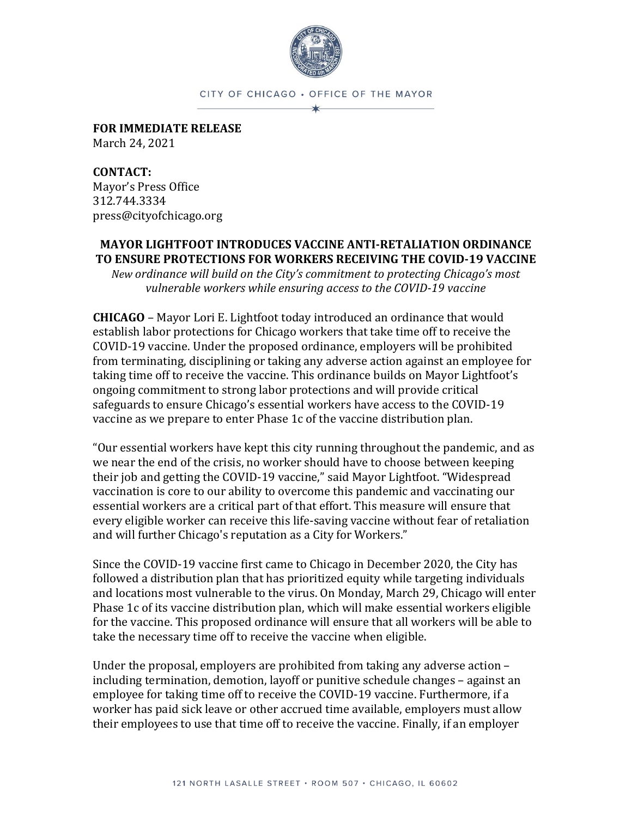

CITY OF CHICAGO . OFFICE OF THE MAYOR

**FOR IMMEDIATE RELEASE** March 24, 2021

**CONTACT:**  Mayor's Press Office 312.744.3334 press@cityofchicago.org

## **MAYOR LIGHTFOOT INTRODUCES VACCINE ANTI-RETALIATION ORDINANCE TO ENSURE PROTECTIONS FOR WORKERS RECEIVING THE COVID-19 VACCINE**

*New ordinance will build on the City's commitment to protecting Chicago's most vulnerable workers while ensuring access to the COVID-19 vaccine*

**CHICAGO** – Mayor Lori E. Lightfoot today introduced an ordinance that would establish labor protections for Chicago workers that take time off to receive the COVID-19 vaccine. Under the proposed ordinance, employers will be prohibited from terminating, disciplining or taking any adverse action against an employee for taking time off to receive the vaccine. This ordinance builds on Mayor Lightfoot's ongoing commitment to strong labor protections and will provide critical safeguards to ensure Chicago's essential workers have access to the COVID-19 vaccine as we prepare to enter Phase 1c of the vaccine distribution plan.

"Our essential workers have kept this city running throughout the pandemic, and as we near the end of the crisis, no worker should have to choose between keeping their job and getting the COVID-19 vaccine," said Mayor Lightfoot. "Widespread vaccination is core to our ability to overcome this pandemic and vaccinating our essential workers are a critical part of that effort. This measure will ensure that every eligible worker can receive this life-saving vaccine without fear of retaliation and will further Chicago's reputation as a City for Workers."

Since the COVID-19 vaccine first came to Chicago in December 2020, the City has followed a distribution plan that has prioritized equity while targeting individuals and locations most vulnerable to the virus. On Monday, March 29, Chicago will enter Phase 1c of its vaccine distribution plan, which will make essential workers eligible for the vaccine. This proposed ordinance will ensure that all workers will be able to take the necessary time off to receive the vaccine when eligible.

Under the proposal, employers are prohibited from taking any adverse action – including termination, demotion, layoff or punitive schedule changes – against an employee for taking time off to receive the COVID-19 vaccine. Furthermore, if a worker has paid sick leave or other accrued time available, employers must allow their employees to use that time off to receive the vaccine. Finally, if an employer